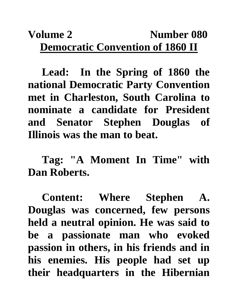## **Volume 2** Number 080 **Democratic Convention of 1860 II**

**Lead: In the Spring of 1860 the national Democratic Party Convention met in Charleston, South Carolina to nominate a candidate for President and Senator Stephen Douglas of Illinois was the man to beat.**

**Tag: "A Moment In Time" with Dan Roberts.**

**Content: Where Stephen A. Douglas was concerned, few persons held a neutral opinion. He was said to be a passionate man who evoked passion in others, in his friends and in his enemies. His people had set up their headquarters in the Hibernian**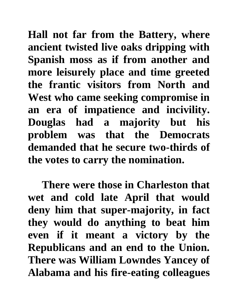**Hall not far from the Battery, where ancient twisted live oaks dripping with Spanish moss as if from another and more leisurely place and time greeted the frantic visitors from North and West who came seeking compromise in an era of impatience and incivility. Douglas had a majority but his problem was that the Democrats demanded that he secure two-thirds of the votes to carry the nomination.**

**There were those in Charleston that wet and cold late April that would deny him that super-majority, in fact they would do anything to beat him even if it meant a victory by the Republicans and an end to the Union. There was William Lowndes Yancey of Alabama and his fire-eating colleagues**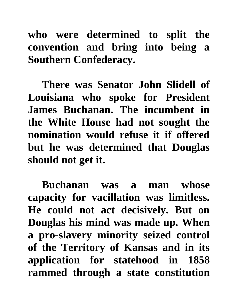**who were determined to split the convention and bring into being a Southern Confederacy.** 

**There was Senator John Slidell of Louisiana who spoke for President James Buchanan. The incumbent in the White House had not sought the nomination would refuse it if offered but he was determined that Douglas should not get it.** 

**Buchanan was a man whose capacity for vacillation was limitless. He could not act decisively. But on Douglas his mind was made up. When a pro-slavery minority seized control of the Territory of Kansas and in its application for statehood in 1858 rammed through a state constitution**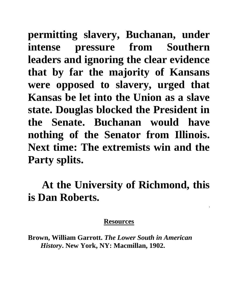**permitting slavery, Buchanan, under intense pressure from Southern leaders and ignoring the clear evidence that by far the majority of Kansans were opposed to slavery, urged that Kansas be let into the Union as a slave state. Douglas blocked the President in the Senate. Buchanan would have nothing of the Senator from Illinois. Next time: The extremists win and the Party splits.**

## **At the University of Richmond, this is Dan Roberts.**

**.**

## **Resources**

**Brown, William Garrott.** *The Lower South in American History***. New York, NY: Macmillan, 1902.**